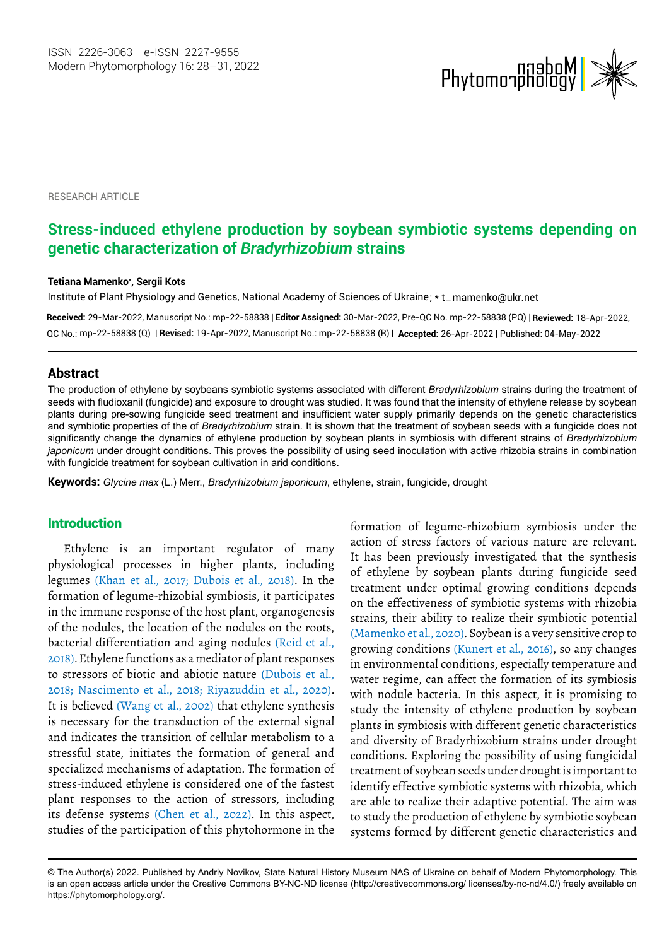

RESEARCH ARTICLE

# **Stress-induced ethylene production by soybean symbiotic systems depending on genetic characterization of** *Bradyrhizobium* **strains**

#### **Тetiana Mamenko\* , Sergii Kots**

Institute of Plant Physiology and Genetics, National Academy of Sciences of Ukraine; \* t\_mamenko@ukr.net

**Received:** 29-Mar-2022, Manuscript No.: mp-22-58838 | **Editor Assigned:** 30-Mar-2022, Pre-QC No. mp-22-58838 (PQ) | **Reviewed:** 18-Apr-2022, mp-22-58838 (Q) | **Revised:** 19-Apr-2022, Manuscript No.: mp-22-58838 (R) | **Accepted:** 26-Apr-2022 | Published: 04-May-2022 QC No.:

### **Abstract**

The production of ethylene by soybeans symbiotic systems associated with different *Bradyrhizobium* strains during the treatment of seeds with fludioxanil (fungicide) and exposure to drought was studied. It was found that the intensity of ethylene release by soybean plants during pre-sowing fungicide seed treatment and insufficient water supply primarily depends on the genetic characteristics and symbiotic properties of the of *Bradyrhizobium* strain. It is shown that the treatment of soybean seeds with a fungicide does not significantly change the dynamics of ethylene production by soybean plants in symbiosis with different strains of *Bradyrhizobium japonicum* under drought conditions. This proves the possibility of using seed inoculation with active rhizobia strains in combination with fungicide treatment for soybean cultivation in arid conditions.

**Keywords:** *Glycine max* (L.) Merr., *Bradyrhizobium japonicum*, ethylene, strain, fungicide, drought

### Introduction

Ethylene is an important regulator of many physiological processes in higher plants, including legumes (Khan et al., 2017; Dubois et al., 2018). In the formation of legume-rhizobial symbiosis, it participates in the immune response of the host plant, organogenesis of the nodules, the location of the nodules on the roots, bacterial differentiation and aging nodules (Reid et al., 2018). Ethylene functions as a mediator of plant responses to stressors of biotic and abiotic nature (Dubois et al., 2018; Nascimento et al., 2018; Riyazuddin et al., 2020). It is believed (Wang et al., 2002) that ethylene synthesis is necessary for the transduction of the external signal and indicates the transition of cellular metabolism to a stressful state, initiates the formation of general and specialized mechanisms of adaptation. The formation of stress-induced ethylene is considered one of the fastest plant responses to the action of stressors, including its defense systems (Chen et al., 2022). In this aspect, studies of the participation of this phytohormone in the

formation of legume-rhizobium symbiosis under the action of stress factors of various nature are relevant. It has been previously investigated that the synthesis of ethylene by soybean plants during fungicide seed treatment under optimal growing conditions depends on the effectiveness of symbiotic systems with rhizobia strains, their ability to realize their symbiotic potential (Mamenko et al., 2020). Soybean is a very sensitive crop to growing conditions (Kunert et al., 2016), so any changes in environmental conditions, especially temperature and water regime, can affect the formation of its symbiosis with nodule bacteria. In this aspect, it is promising to study the intensity of ethylene production by soybean plants in symbiosis with different genetic characteristics and diversity of Bradyrhizobium strains under drought conditions. Exploring the possibility of using fungicidal treatment of soybean seeds under drought is important to identify effective symbiotic systems with rhizobia, which are able to realize their adaptive potential. The aim was to study the production of ethylene by symbiotic soybean systems formed by different genetic characteristics and

<sup>©</sup> The Author(s) 2022. Published by Andriy Novikov, State Natural History Museum NAS of Ukraine on behalf of Modern Phytomorphology. This is an open access article under the Creative Commons BY-NC-ND license (http://creativecommons.org/ licenses/by-nc-nd/4.0/) freely available on https://phytomorphology.org/.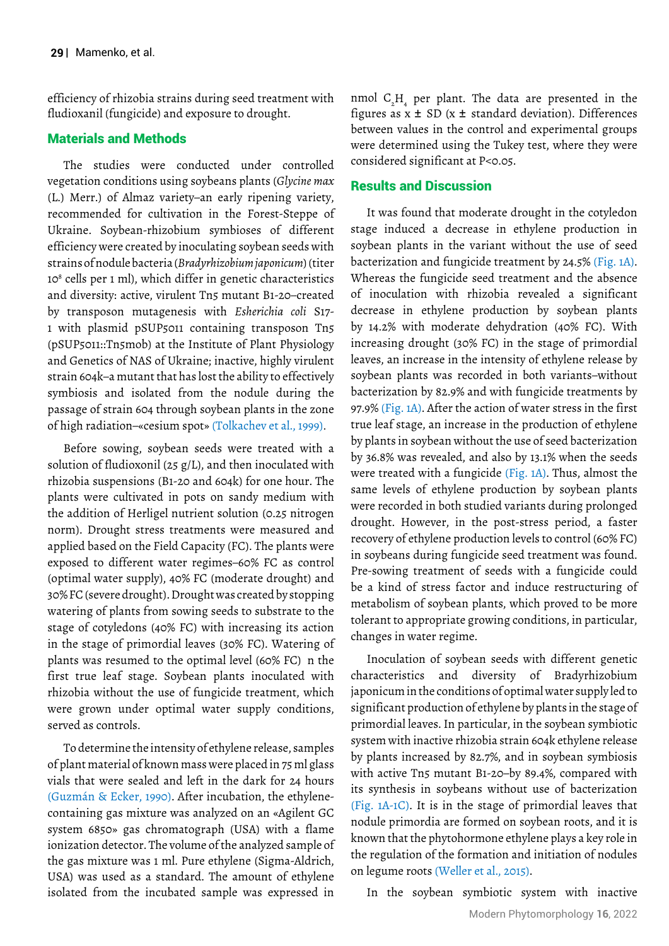efficiency of rhizobia strains during seed treatment with fludioxanil (fungicide) and exposure to drought.

## Materials and Methods

The studies were conducted under controlled vegetation conditions using soybeans plants (*Glycine max* (L.) Merr.) of Almaz variety–an early ripening variety, recommended for cultivation in the Forest-Steppe of Ukraine. Soybean-rhizobium symbioses of different efficiency were created by inoculating soybean seeds with strains of nodule bacteria (*Bradyrhizobium japonicum*) (titer 108 cells per 1 ml), which differ in genetic characteristics and diversity: active, virulent Tn5 mutant B1-20–created by transposon mutagenesis with *Esherichia coli* S17- 1 with plasmid pSUP5011 containing transposon Tn5 (pSUP5011::Tn5mob) at the Institute of Plant Physiology and Genetics of NAS of Ukraine; inactive, highly virulent strain 604k–a mutant that has lost the ability to effectively symbiosis and isolated from the nodule during the passage of strain 604 through soybean plants in the zone of high radiation–«cesium spot» (Tolkachev et al., 1999).

Before sowing, soybean seeds were treated with a solution of fludioxonil (25 g/L), and then inoculated with rhizobia suspensions (B1-20 and 604k) for one hour. The plants were cultivated in pots on sandy medium with the addition of Herligel nutrient solution (0.25 nitrogen norm). Drought stress treatments were measured and applied based on the Field Capacity (FC). The plants were exposed to different water regimes–60% FC as control (optimal water supply), 40% FC (moderate drought) and 30% FC (severe drought). Drought was created by stopping watering of plants from sowing seeds to substrate to the stage of cotyledons (40% FC) with increasing its action in the stage of primordial leaves (30% FC). Watering of plants was resumed to the optimal level (60% FC) n the first true leaf stage. Soybean plants inoculated with rhizobia without the use of fungicide treatment, which were grown under optimal water supply conditions, served as controls.

To determine the intensity of ethylene release, samples of plant material of known mass were placed in 75 ml glass vials that were sealed and left in the dark for 24 hours (Guzmán & Ecker, 1990). After incubation, the ethylenecontaining gas mixture was analyzed on an «Agilent GC system 6850» gas chromatograph (USA) with a flame ionization detector. The volume of the analyzed sample of the gas mixture was 1 ml. Pure ethylene (Sigma-Aldrich, USA) was used as a standard. The amount of ethylene isolated from the incubated sample was expressed in

nmol  $C_2H$ <sub>4</sub> per plant. The data are presented in the figures as  $x \pm SD$  ( $x \pm$  standard deviation). Differences between values in the control and experimental groups were determined using the Tukey test, where they were considered significant at P<0.05.

### Results and Discussion

It was found that moderate drought in the cotyledon stage induced a decrease in ethylene production in soybean plants in the variant without the use of seed bacterization and fungicide treatment by 24.5% (Fig. 1A). Whereas the fungicide seed treatment and the absence of inoculation with rhizobia revealed a significant decrease in ethylene production by soybean plants by 14.2% with moderate dehydration (40% FC). With increasing drought (30% FC) in the stage of primordial leaves, an increase in the intensity of ethylene release by soybean plants was recorded in both variants–without bacterization by 82.9% and with fungicide treatments by 97.9% (Fig. 1A). After the action of water stress in the first true leaf stage, an increase in the production of ethylene by plants in soybean without the use of seed bacterization by 36.8% was revealed, and also by 13.1% when the seeds were treated with a fungicide (Fig. 1A). Thus, almost the same levels of ethylene production by soybean plants were recorded in both studied variants during prolonged drought. However, in the post-stress period, a faster recovery of ethylene production levels to control (60% FC) in soybeans during fungicide seed treatment was found. Pre-sowing treatment of seeds with a fungicide could be a kind of stress factor and induce restructuring of metabolism of soybean plants, which proved to be more tolerant to appropriate growing conditions, in particular, changes in water regime.

Inoculation of soybean seeds with different genetic characteristics and diversity of Bradyrhizobium japonicum in the conditions of optimal water supply led to significant production of ethylene by plants in the stage of primordial leaves. In particular, in the soybean symbiotic system with inactive rhizobia strain 604k ethylene release by plants increased by 82.7%, and in soybean symbiosis with active Tn5 mutant B1-20–by 89.4%, compared with its synthesis in soybeans without use of bacterization (Fig. 1A-1C). It is in the stage of primordial leaves that nodule primordia are formed on soybean roots, and it is known that the phytohormone ethylene plays a key role in the regulation of the formation and initiation of nodules on legume roots (Weller et al., 2015).

In the soybean symbiotic system with inactive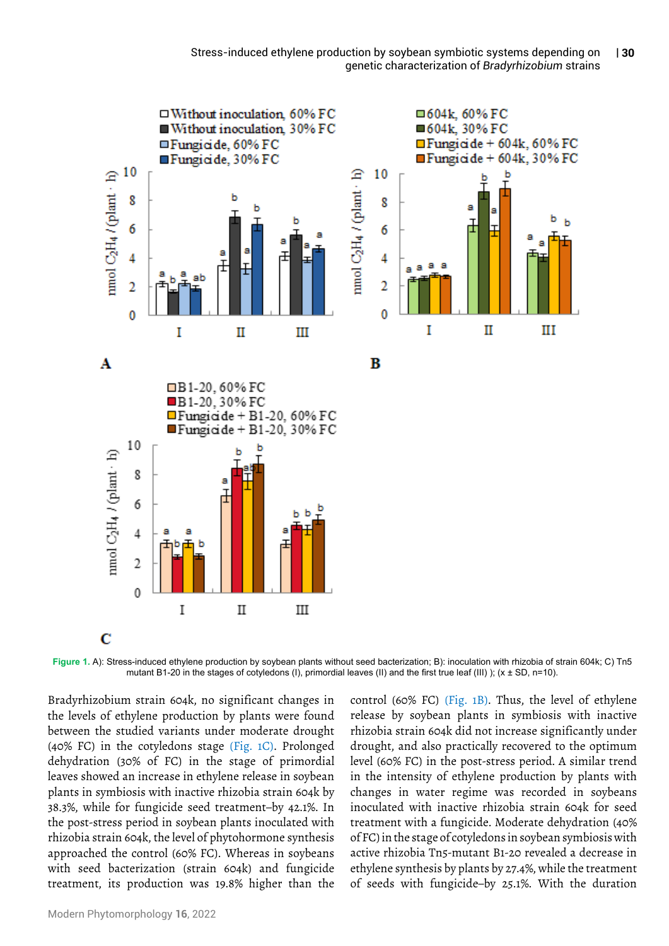

**Figure 1.** A): Stress-induced ethylene production by soybean plants without seed bacterization; B): inoculation with rhizobia of strain 604k; C) Tn5 mutant B1-20 in the stages of cotyledons (I), primordial leaves (II) and the first true leaf (III) ); (x ± SD, n=10).

Bradyrhizobium strain 604k, no significant changes in the levels of ethylene production by plants were found between the studied variants under moderate drought (40% FC) in the cotyledons stage (Fig. 1C). Prolonged dehydration (30% of FC) in the stage of primordial leaves showed an increase in ethylene release in soybean plants in symbiosis with inactive rhizobia strain 604k by 38.3%, while for fungicide seed treatment–by 42.1%. In the post-stress period in soybean plants inoculated with rhizobia strain 604k, the level of phytohormone synthesis approached the control (60% FC). Whereas in soybeans with seed bacterization (strain 604k) and fungicide treatment, its production was 19.8% higher than the

control (60% FC) (Fig. 1B). Thus, the level of ethylene release by soybean plants in symbiosis with inactive rhizobia strain 604k did not increase significantly under drought, and also practically recovered to the optimum level (60% FC) in the post-stress period. A similar trend in the intensity of ethylene production by plants with changes in water regime was recorded in soybeans inoculated with inactive rhizobia strain 604k for seed treatment with a fungicide. Moderate dehydration (40% of FC) in the stage of cotyledons in soybean symbiosis with active rhizobia Tn5-mutant B1-20 revealed a decrease in ethylene synthesis by plants by 27.4%, while the treatment of seeds with fungicide–by 25.1%. With the duration